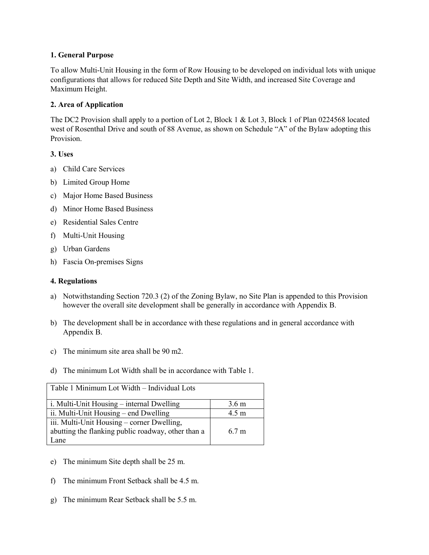## **1. General Purpose**

To allow Multi-Unit Housing in the form of Row Housing to be developed on individual lots with unique configurations that allows for reduced Site Depth and Site Width, and increased Site Coverage and Maximum Height.

## **2. Area of Application**

The DC2 Provision shall apply to a portion of Lot 2, Block 1 & Lot 3, Block 1 of Plan 0224568 located west of Rosenthal Drive and south of 88 Avenue, as shown on Schedule "A" of the Bylaw adopting this Provision.

## **3. Uses**

- a) Child Care Services
- b) Limited Group Home
- c) Major Home Based Business
- d) Minor Home Based Business
- e) Residential Sales Centre
- f) Multi-Unit Housing
- g) Urban Gardens
- h) Fascia On-premises Signs

## **4. Regulations**

- a) Notwithstanding Section 720.3 (2) of the Zoning Bylaw, no Site Plan is appended to this Provision however the overall site development shall be generally in accordance with Appendix B.
- b) The development shall be in accordance with these regulations and in general accordance with Appendix B.
- c) The minimum site area shall be 90 m2.
- d) The minimum Lot Width shall be in accordance with Table 1.

| Table 1 Minimum Lot Width – Individual Lots        |                  |
|----------------------------------------------------|------------------|
| i. Multi-Unit Housing – internal Dwelling          | 3.6 <sub>m</sub> |
| ii. Multi-Unit Housing – end Dwelling              | 4.5 <sub>m</sub> |
| iii. Multi-Unit Housing – corner Dwelling,         |                  |
| abutting the flanking public roadway, other than a | 6.7 m            |
| Lane.                                              |                  |

- e) The minimum Site depth shall be 25 m.
- f) The minimum Front Setback shall be 4.5 m.
- g) The minimum Rear Setback shall be 5.5 m.